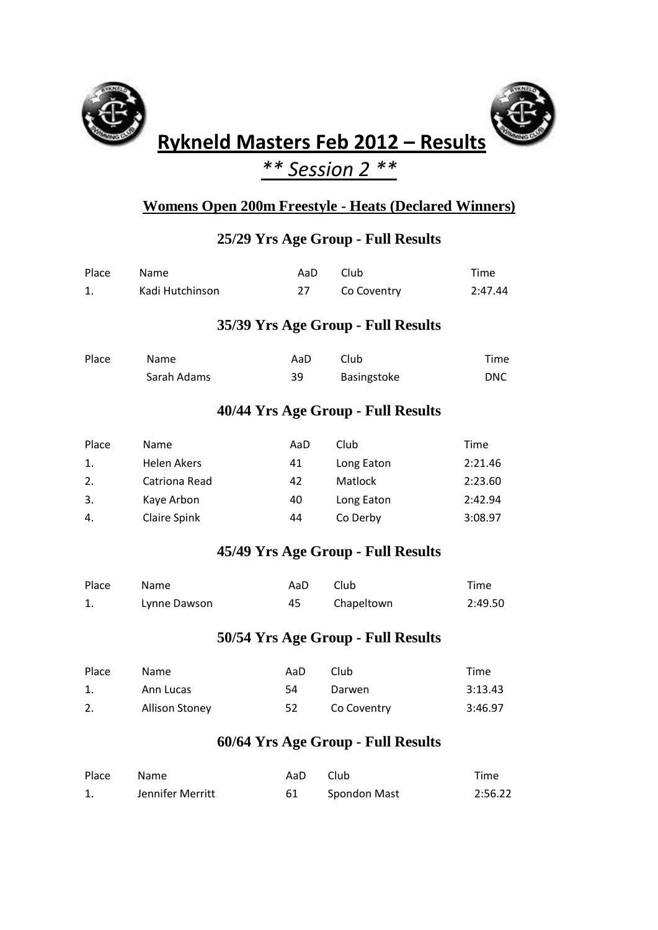



# **Rykneld Masters Feb 2012 – Results**

## *\*\* Session 2 \*\**

#### **Womens Open 200m Freestyle - Heats (Declared Winners)**

### **25/29 Yrs Age Group - Full Results**

| Place | Name               | AaD | Club                               | Time        |
|-------|--------------------|-----|------------------------------------|-------------|
| 1.    | Kadi Hutchinson    | 27  | Co Coventry                        | 2:47.44     |
|       |                    |     | 35/39 Yrs Age Group - Full Results |             |
| Place | Name               | AaD | Club                               | Time        |
|       | Sarah Adams        | 39  | Basingstoke                        | <b>DNC</b>  |
|       |                    |     | 40/44 Yrs Age Group - Full Results |             |
| Place | Name               | AaD | Club                               | <b>Time</b> |
| 1.    | <b>Helen Akers</b> | 41  | Long Eaton                         | 2:21.46     |
| 2.    | Catriona Read      | 42  | Matlock                            | 2:23.60     |
| 3.    | Kaye Arbon         | 40  | Long Eaton                         | 2:42.94     |
| 4.    | Claire Spink       | 44  | Co Derby                           | 3:08.97     |
|       |                    |     | 45/49 Yrs Age Group - Full Results |             |

| Place | Name         | AaD | Club       | Time    |
|-------|--------------|-----|------------|---------|
|       | Lynne Dawson | 45  | Chapeltown | 2:49.50 |

#### **50/54 Yrs Age Group - Full Results**

| Place | Name           | AaD | Club        | Time    |
|-------|----------------|-----|-------------|---------|
|       | Ann Lucas      | -54 | Darwen      | 3:13.43 |
| 2.    | Allison Stoney | 52  | Co Coventry | 3:46.97 |

#### **60/64 Yrs Age Group - Full Results**

| Place | Name             | AaD Club |              | Time    |
|-------|------------------|----------|--------------|---------|
|       | Jennifer Merritt |          | Spondon Mast | 2:56.22 |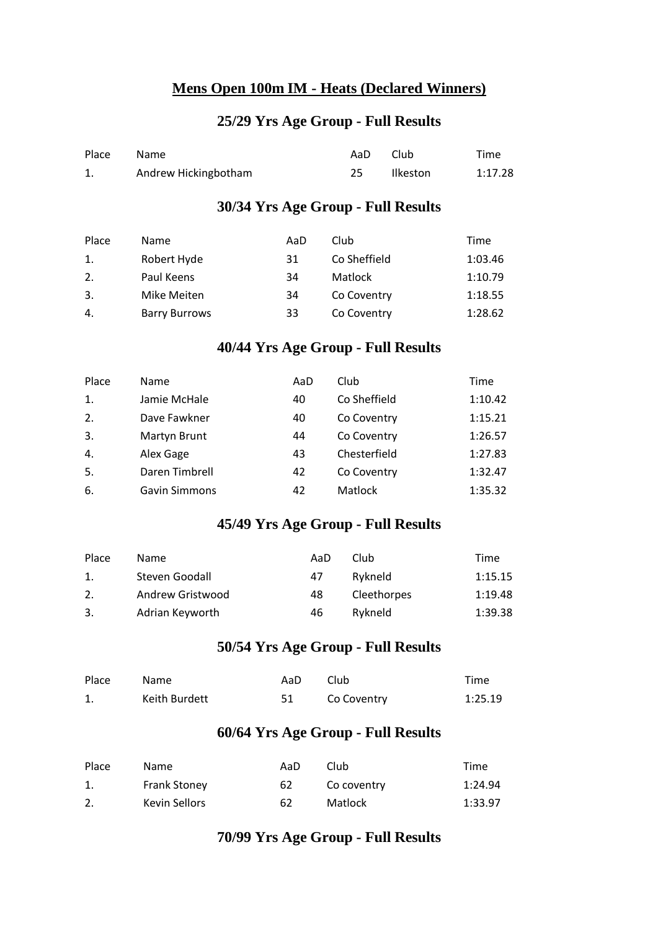#### **Mens Open 100m IM - Heats (Declared Winners)**

#### **25/29 Yrs Age Group - Full Results**

| Place | Name                 | AaD | - Club   | Time    |
|-------|----------------------|-----|----------|---------|
|       | Andrew Hickingbotham |     | Ilkeston | 1:17.28 |

#### **30/34 Yrs Age Group - Full Results**

| Place | <b>Name</b>          | AaD | Club         | Time    |
|-------|----------------------|-----|--------------|---------|
| 1.    | Robert Hyde          | 31  | Co Sheffield | 1:03.46 |
| 2.    | Paul Keens           | 34  | Matlock      | 1:10.79 |
| 3.    | Mike Meiten          | 34  | Co Coventry  | 1:18.55 |
| 4.    | <b>Barry Burrows</b> | 33  | Co Coventry  | 1:28.62 |

#### **40/44 Yrs Age Group - Full Results**

| Place | Name                 | AaD | Club         | Time    |
|-------|----------------------|-----|--------------|---------|
| 1.    | Jamie McHale         | 40  | Co Sheffield | 1:10.42 |
| 2.    | Dave Fawkner         | 40  | Co Coventry  | 1:15.21 |
| 3.    | Martyn Brunt         | 44  | Co Coventry  | 1:26.57 |
| 4.    | Alex Gage            | 43  | Chesterfield | 1:27.83 |
| 5.    | Daren Timbrell       | 42  | Co Coventry  | 1:32.47 |
| 6.    | <b>Gavin Simmons</b> | 42  | Matlock      | 1:35.32 |

#### **45/49 Yrs Age Group - Full Results**

| Place | Name             | AaD | Club        | Time    |
|-------|------------------|-----|-------------|---------|
| 1.    | Steven Goodall   | 47  | Rykneld     | 1:15.15 |
| 2.    | Andrew Gristwood | 48  | Cleethorpes | 1:19.48 |
| 3.    | Adrian Keyworth  | 46  | Rykneld     | 1:39.38 |

#### **50/54 Yrs Age Group - Full Results**

| Place | <b>Name</b>   | AaD. | Club        | Time    |
|-------|---------------|------|-------------|---------|
|       | Keith Burdett |      | Co Coventry | 1:25.19 |

#### **60/64 Yrs Age Group - Full Results**

| Place | Name.               | AaD | Club        | Time    |
|-------|---------------------|-----|-------------|---------|
|       | <b>Frank Stoney</b> | 62  | Co coventry | 1:24.94 |
|       | Kevin Sellors       | 62  | Matlock     | 1:33.97 |

#### **70/99 Yrs Age Group - Full Results**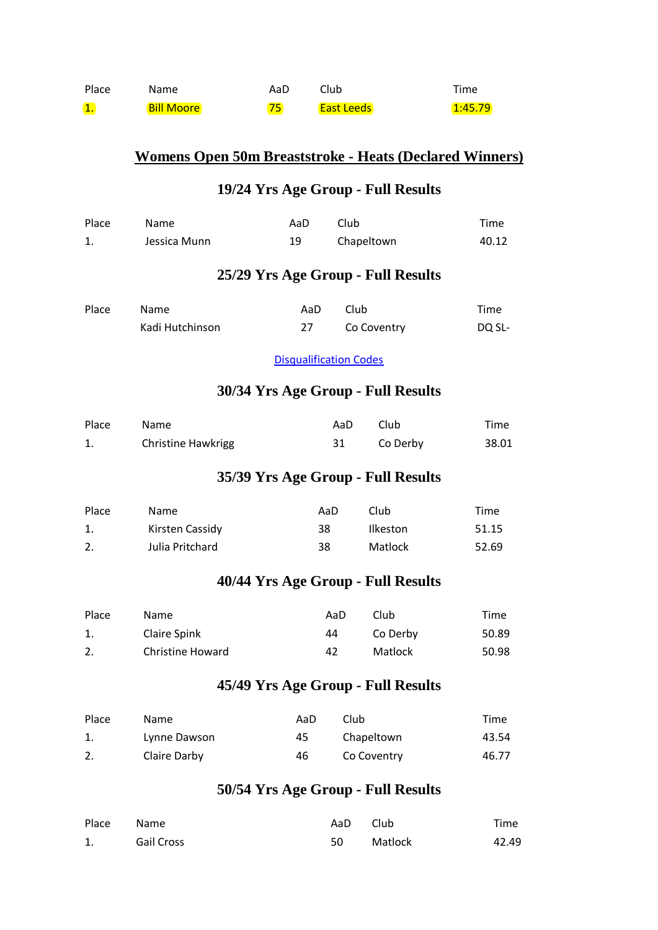| Place                | <b>Name</b>       | AaD | Club.             | Time    |
|----------------------|-------------------|-----|-------------------|---------|
| $\blacksquare$<br>ш. | <b>Bill Moore</b> | 75. | <b>East Leeds</b> | 1:45.79 |

## **Womens Open 50m Breaststroke - Heats (Declared Winners)**

#### **19/24 Yrs Age Group - Full Results**

| Place | Name                      | AaD                           | Club |                                    | Time   |
|-------|---------------------------|-------------------------------|------|------------------------------------|--------|
| 1.    | Jessica Munn              | 19                            |      | Chapeltown                         | 40.12  |
|       |                           |                               |      | 25/29 Yrs Age Group - Full Results |        |
| Place | Name                      | AaD                           | Club |                                    | Time   |
|       | Kadi Hutchinson           | 27                            |      | Co Coventry                        | DQ SL- |
|       |                           | <b>Disqualification Codes</b> |      |                                    |        |
|       |                           |                               |      | 30/34 Yrs Age Group - Full Results |        |
| Place | Name                      |                               | AaD  | Club                               | Time   |
| 1.    | <b>Christine Hawkrigg</b> |                               | 31   | Co Derby                           | 38.01  |
|       |                           |                               |      | 35/39 Yrs Age Group - Full Results |        |
| Place | Name                      | AaD                           |      | Club                               | Time   |
| 1.    | Kirsten Cassidy           | 38                            |      | Ilkeston                           | 51.15  |
| 2.    | Julia Pritchard           | 38                            |      | Matlock                            | 52.69  |
|       |                           |                               |      | 40/44 Yrs Age Group - Full Results |        |
| Place | Name                      |                               | AaD  | Club                               | Time   |
| 1.    | <b>Claire Spink</b>       |                               | 44   | Co Derby                           | 50.89  |
| 2.    | <b>Christine Howard</b>   |                               | 42   | Matlock                            | 50.98  |
|       |                           |                               |      | 45/49 Yrs Age Group - Full Results |        |
| Place | Name                      | AaD                           | Club |                                    | Time   |
| 1.    | Lynne Dawson              | 45                            |      | Chapeltown                         | 43.54  |

#### **50/54 Yrs Age Group - Full Results**

| Place Name |                   | AaD Club |         | Time  |
|------------|-------------------|----------|---------|-------|
|            | <b>Gail Cross</b> | 50       | Matlock | 42.49 |

2. Claire Darby 46 Co Coventry 46.77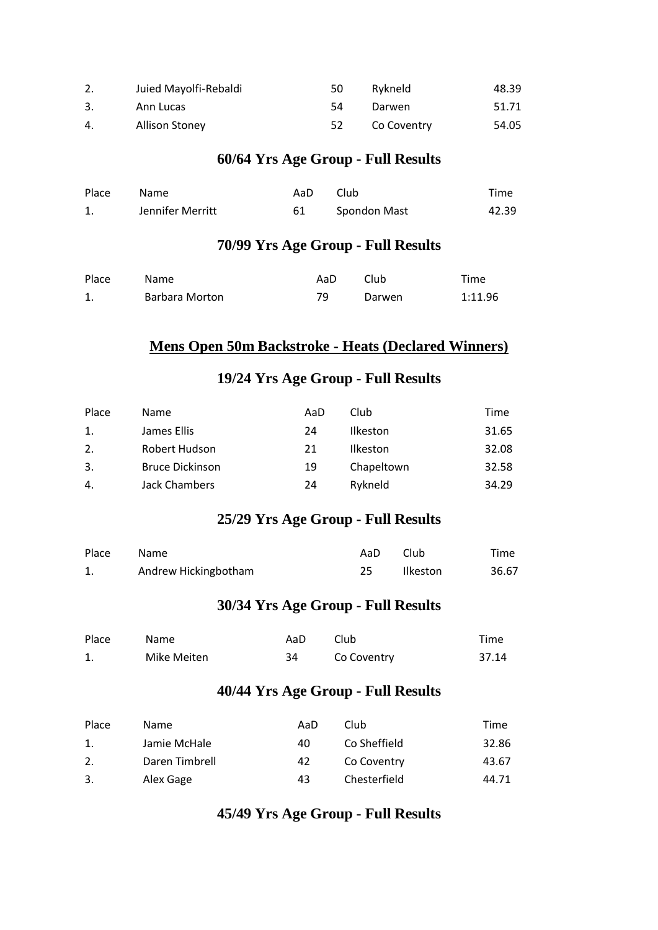|    | Juied Mayolfi-Rebaldi | 50 | Rykneld     | 48.39 |
|----|-----------------------|----|-------------|-------|
|    | Ann Lucas             | 54 | Darwen      | 51.71 |
| 4. | <b>Allison Stoney</b> |    | Co Coventry | 54.05 |

#### **60/64 Yrs Age Group - Full Results**

| Place | Name             | AaD | Club         | Time  |
|-------|------------------|-----|--------------|-------|
|       | Jennifer Merritt |     | Spondon Mast | 42.39 |

#### **70/99 Yrs Age Group - Full Results**

| Place | Name.          | AaD | Club   | Time    |
|-------|----------------|-----|--------|---------|
|       | Barbara Morton | 79  | Darwen | 1:11.96 |

#### **Mens Open 50m Backstroke - Heats (Declared Winners)**

#### **19/24 Yrs Age Group - Full Results**

| Place | Name                   | AaD | Club            | Time  |
|-------|------------------------|-----|-----------------|-------|
| 1.    | James Ellis            | 24  | <b>Ilkeston</b> | 31.65 |
| 2.    | Robert Hudson          | 21  | <b>Ilkeston</b> | 32.08 |
| 3.    | <b>Bruce Dickinson</b> | 19  | Chapeltown      | 32.58 |
| 4.    | Jack Chambers          | 24  | Rykneld         | 34.29 |

#### **25/29 Yrs Age Group - Full Results**

| Place | Name                 | AaD. | Club     | Time  |
|-------|----------------------|------|----------|-------|
|       | Andrew Hickingbotham |      | Ilkeston | 36.67 |

#### **30/34 Yrs Age Group - Full Results**

| Place | <b>Name</b> | AaD | Club        | Time  |
|-------|-------------|-----|-------------|-------|
|       | Mike Meiten | 34  | Co Coventry | 37.14 |

#### **40/44 Yrs Age Group - Full Results**

| Place | Name           | AaD | Club         | Time  |
|-------|----------------|-----|--------------|-------|
| 1.    | Jamie McHale   | 40  | Co Sheffield | 32.86 |
| 2.    | Daren Timbrell | 42  | Co Coventry  | 43.67 |
| 3.    | Alex Gage      | 43  | Chesterfield | 44.71 |

## **45/49 Yrs Age Group - Full Results**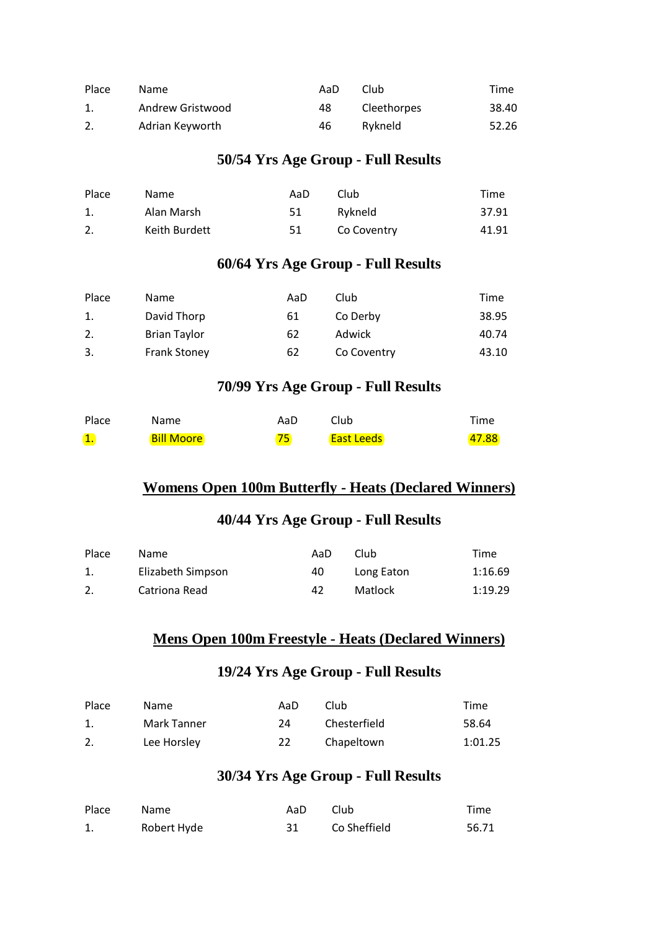| Place          | Name             | AaD | Club        | Time  |
|----------------|------------------|-----|-------------|-------|
| $\mathbf{1}$ . | Andrew Gristwood | 48  | Cleethorpes | 38.40 |
|                | Adrian Keyworth  | 46  | Rykneld     | 52.26 |

#### **50/54 Yrs Age Group - Full Results**

| Place | Name          | AaD | Club        | Time  |
|-------|---------------|-----|-------------|-------|
|       | Alan Marsh    | 51  | Rykneld     | 37.91 |
|       | Keith Burdett | -51 | Co Coventry | 41.91 |

#### **60/64 Yrs Age Group - Full Results**

| Place | Name                | AaD | Club        | Time  |
|-------|---------------------|-----|-------------|-------|
| 1.    | David Thorp         | 61  | Co Derby    | 38.95 |
| 2.    | <b>Brian Taylor</b> | 62  | Adwick      | 40.74 |
| 3.    | <b>Frank Stoney</b> | 62  | Co Coventry | 43.10 |

#### **70/99 Yrs Age Group - Full Results**

| Place                     | <b>Name</b>       | AaD | Club              | Time  |
|---------------------------|-------------------|-----|-------------------|-------|
| $\overline{\mathbf{1}}$ . | <b>Bill Moore</b> | 75  | <b>East Leeds</b> | 47.88 |

#### **Womens Open 100m Butterfly - Heats (Declared Winners)**

#### **40/44 Yrs Age Group - Full Results**

| Place | Name              | AaD | Club       | Time    |
|-------|-------------------|-----|------------|---------|
|       | Elizabeth Simpson | 40  | Long Eaton | 1:16.69 |
|       | Catriona Read     | 42  | Matlock    | 1:19.29 |

#### **Mens Open 100m Freestyle - Heats (Declared Winners)**

#### **19/24 Yrs Age Group - Full Results**

| Place | <b>Name</b> | AaD | Club         | Time    |
|-------|-------------|-----|--------------|---------|
|       | Mark Tanner | 24  | Chesterfield | 58.64   |
|       | Lee Horsley | 22  | Chapeltown   | 1:01.25 |

#### **30/34 Yrs Age Group - Full Results**

| Place | <b>Name</b> | AaD | Club         | Time  |
|-------|-------------|-----|--------------|-------|
|       | Robert Hyde |     | Co Sheffield | 56.71 |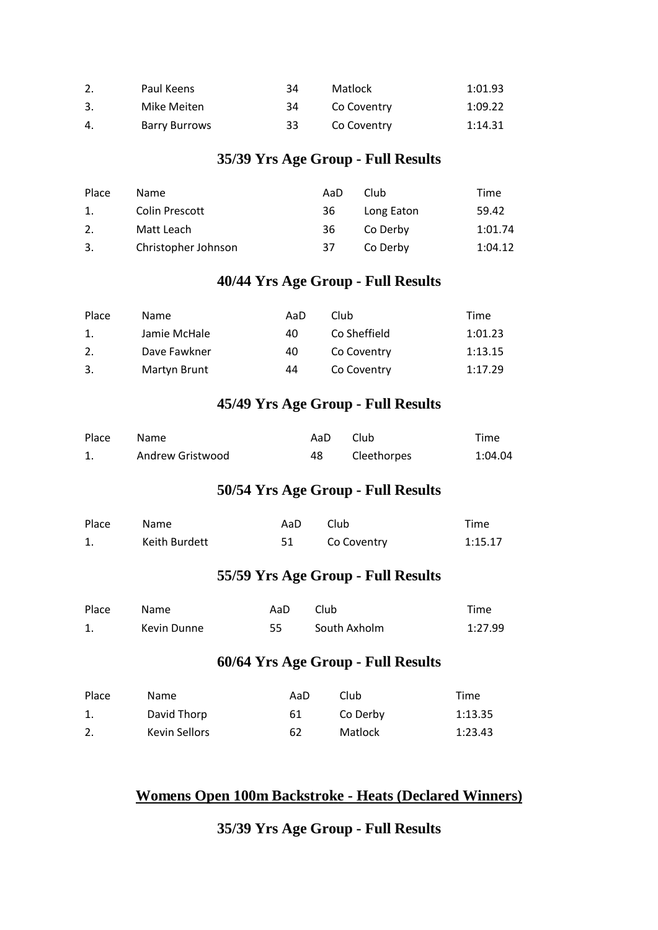|    | Paul Keens           | 34 | Matlock     | 1:01.93 |
|----|----------------------|----|-------------|---------|
|    | Mike Meiten          | 34 | Co Coventry | 1:09.22 |
| 4. | <b>Barry Burrows</b> | 33 | Co Coventry | 1:14.31 |

#### **35/39 Yrs Age Group - Full Results**

| Place | Name                | AaD | Club       | Time    |
|-------|---------------------|-----|------------|---------|
| 1.    | Colin Prescott      | 36  | Long Eaton | 59.42   |
| 2.    | Matt Leach          | 36  | Co Derby   | 1:01.74 |
| 3.    | Christopher Johnson | 37. | Co Derby   | 1:04.12 |

## **40/44 Yrs Age Group - Full Results**

| Place | Name         | AaD | Club         | Time    |
|-------|--------------|-----|--------------|---------|
| 1.    | Jamie McHale | 40  | Co Sheffield | 1:01.23 |
| 2.    | Dave Fawkner | 40  | Co Coventry  | 1:13.15 |
| -3.   | Martyn Brunt | 44  | Co Coventry  | 1:17.29 |

#### **45/49 Yrs Age Group - Full Results**

| Place | <b>Name</b>      | AaD | Club        | Time    |
|-------|------------------|-----|-------------|---------|
|       | Andrew Gristwood | 48  | Cleethorpes | 1:04.04 |

#### **50/54 Yrs Age Group - Full Results**

| Place | <b>Name</b>   | AaD. | <b>Club</b> | Time    |
|-------|---------------|------|-------------|---------|
|       | Keith Burdett |      | Co Coventry | 1:15.17 |

#### **55/59 Yrs Age Group - Full Results**

| Place | Name.       | AaD | Club         | Time    |
|-------|-------------|-----|--------------|---------|
|       | Kevin Dunne | 55. | South Axholm | 1:27.99 |

#### **60/64 Yrs Age Group - Full Results**

| Place | <b>Name</b>   | AaD | Club     | Time    |
|-------|---------------|-----|----------|---------|
|       | David Thorp   | 61  | Co Derby | 1:13.35 |
|       | Kevin Sellors | 62  | Matlock  | 1:23.43 |

#### **Womens Open 100m Backstroke - Heats (Declared Winners)**

**35/39 Yrs Age Group - Full Results**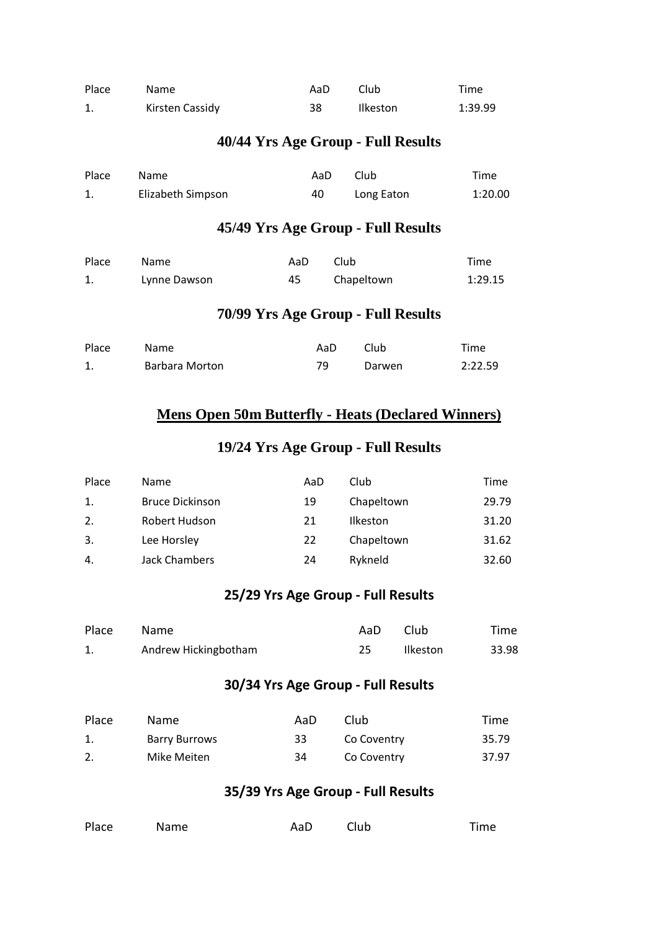| Place | Name            | AaD | Club            | Time    |
|-------|-----------------|-----|-----------------|---------|
| 1.    | Kirsten Cassidy | 38  | <b>Ilkeston</b> | 1:39.99 |

#### **40/44 Yrs Age Group - Full Results**

| Place | <b>Name</b>       | AaD | Club       | Time    |
|-------|-------------------|-----|------------|---------|
|       | Elizabeth Simpson | 40  | Long Eaton | 1:20.00 |

#### **45/49 Yrs Age Group - Full Results**

| Place | Name         | AaD. | Club       | Time    |
|-------|--------------|------|------------|---------|
| 1.    | Lynne Dawson | 45   | Chapeltown | 1:29.15 |

#### **70/99 Yrs Age Group - Full Results**

| Place | Name           | AaD | Club   | Time    |
|-------|----------------|-----|--------|---------|
|       | Barbara Morton | 79  | Darwen | 2:22.59 |

#### **Mens Open 50m Butterfly - Heats (Declared Winners)**

#### **19/24 Yrs Age Group - Full Results**

| Place | <b>Name</b>            | AaD | Club       | Time  |
|-------|------------------------|-----|------------|-------|
| 1.    | <b>Bruce Dickinson</b> | 19  | Chapeltown | 29.79 |
| 2.    | Robert Hudson          | 21  | Ilkeston   | 31.20 |
| 3.    | Lee Horsley            | 22  | Chapeltown | 31.62 |
| 4.    | Jack Chambers          | 24  | Rykneld    | 32.60 |

#### **25/29 Yrs Age Group - Full Results**

| Place | Name                 | AaD | Club     | Time  |
|-------|----------------------|-----|----------|-------|
|       | Andrew Hickingbotham |     | Ilkeston | 33.98 |

#### **30/34 Yrs Age Group - Full Results**

| Place | <b>Name</b>          | AaD | Club        | Time  |
|-------|----------------------|-----|-------------|-------|
|       | <b>Barry Burrows</b> | 33  | Co Coventry | 35.79 |
|       | Mike Meiten          | 34  | Co Coventry | 37.97 |

#### **35/39 Yrs Age Group - Full Results**

| Place | Name | AaD Club | Time |
|-------|------|----------|------|
|       |      |          |      |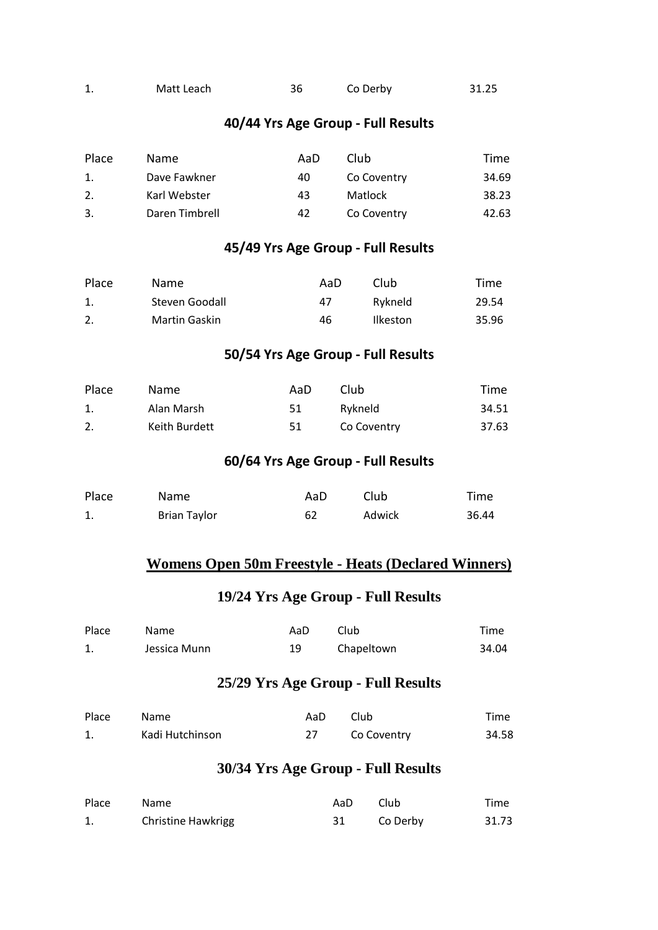| Matt Leach | Co Derby | 31.25 |
|------------|----------|-------|
|            |          |       |

#### **40/44 Yrs Age Group - Full Results**

| Place | Name.          | AaD | Club        | Time  |
|-------|----------------|-----|-------------|-------|
| 1.    | Dave Fawkner   | 40  | Co Coventry | 34.69 |
| 2.    | Karl Webster   | 43  | Matlock     | 38.23 |
| 3.    | Daren Timbrell | 42  | Co Coventry | 42.63 |

#### **45/49 Yrs Age Group - Full Results**

| Place | Name.          | AaD | Club            | Time  |
|-------|----------------|-----|-----------------|-------|
|       | Steven Goodall | 47  | Rykneld         | 29.54 |
|       | Martin Gaskin  | 46  | <b>Ilkeston</b> | 35.96 |

#### **50/54 Yrs Age Group - Full Results**

| Place | Name.         | AaD | Club        | Time  |
|-------|---------------|-----|-------------|-------|
|       | Alan Marsh    | 51  | Rykneld     | 34.51 |
|       | Keith Burdett | 51. | Co Coventry | 37.63 |

#### **60/64 Yrs Age Group - Full Results**

| Place | Name                | AaD | Club   | Time  |
|-------|---------------------|-----|--------|-------|
| 1.    | <b>Brian Taylor</b> | 62  | Adwick | 36.44 |

#### **Womens Open 50m Freestyle - Heats (Declared Winners)**

#### **19/24 Yrs Age Group - Full Results**

| Place | Name         | AaD | Club       | Time  |
|-------|--------------|-----|------------|-------|
|       | Jessica Munn |     | Chapeltown | 34.04 |

#### **25/29 Yrs Age Group - Full Results**

| Place | Name            | AaD | Club <sub>-</sub> | Time  |
|-------|-----------------|-----|-------------------|-------|
|       | Kadi Hutchinson |     | Co Coventry       | 34.58 |

#### **30/34 Yrs Age Group - Full Results**

| Place | Name                      | AaD | - Club   | Time  |
|-------|---------------------------|-----|----------|-------|
| 1.    | <b>Christine Hawkrigg</b> |     | Co Derby | 31.73 |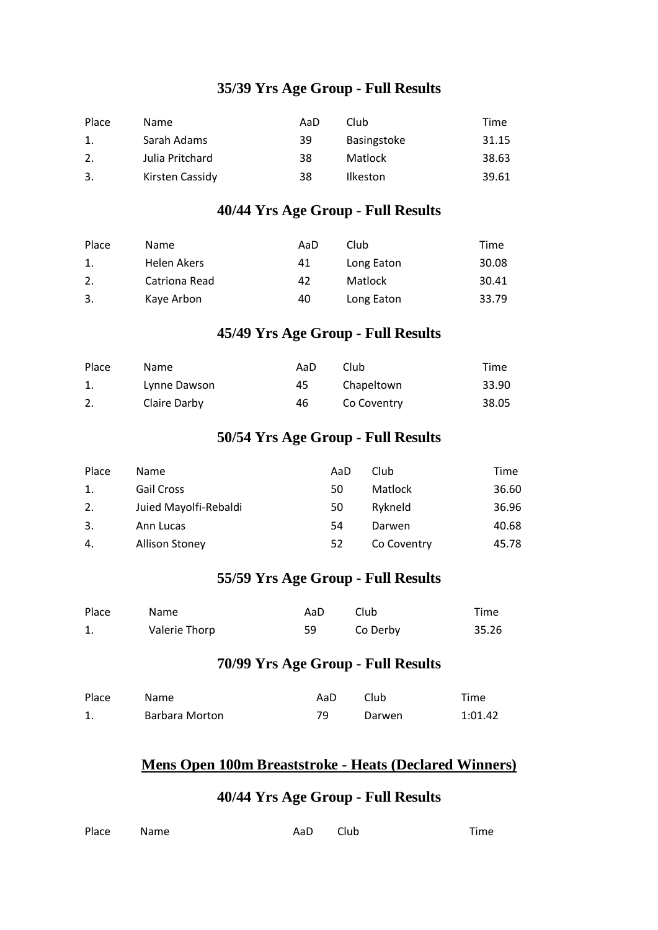#### **35/39 Yrs Age Group - Full Results**

| Place | Name            | AaD | Club            | Time  |
|-------|-----------------|-----|-----------------|-------|
| 1.    | Sarah Adams     | 39  | Basingstoke     | 31.15 |
| 2.    | Julia Pritchard | 38  | Matlock         | 38.63 |
| 3.    | Kirsten Cassidy | 38  | <b>Ilkeston</b> | 39.61 |

#### **40/44 Yrs Age Group - Full Results**

| Place | Name          | AaD | Club       | Time  |
|-------|---------------|-----|------------|-------|
| 1.    | Helen Akers   | 41  | Long Eaton | 30.08 |
| 2.    | Catriona Read | 42  | Matlock    | 30.41 |
| 3.    | Kaye Arbon    | 40  | Long Eaton | 33.79 |

#### **45/49 Yrs Age Group - Full Results**

| Place | <b>Name</b>  | AaD | Club        | Time  |
|-------|--------------|-----|-------------|-------|
|       | Lynne Dawson | 45  | Chapeltown  | 33.90 |
|       | Claire Darby | 46  | Co Coventry | 38.05 |

#### **50/54 Yrs Age Group - Full Results**

| Place | <b>Name</b>           | AaD | Club        | Time  |
|-------|-----------------------|-----|-------------|-------|
| 1.    | Gail Cross            | 50  | Matlock     | 36.60 |
| 2.    | Juied Mayolfi-Rebaldi | 50  | Rykneld     | 36.96 |
| 3.    | Ann Lucas             | 54  | Darwen      | 40.68 |
| 4.    | <b>Allison Stoney</b> | 52  | Co Coventry | 45.78 |

#### **55/59 Yrs Age Group - Full Results**

| Place | <b>Name</b>   | AaD | Club     | Time  |
|-------|---------------|-----|----------|-------|
|       | Valerie Thorp | 59  | Co Derby | 35.26 |

#### **70/99 Yrs Age Group - Full Results**

| Place | Name           | AaD | Club   | Time    |
|-------|----------------|-----|--------|---------|
|       | Barbara Morton | 79. | Darwen | 1:01.42 |

#### **Mens Open 100m Breaststroke - Heats (Declared Winners)**

#### **40/44 Yrs Age Group - Full Results**

| Place Name | AaD Club | Time |
|------------|----------|------|
|            |          |      |